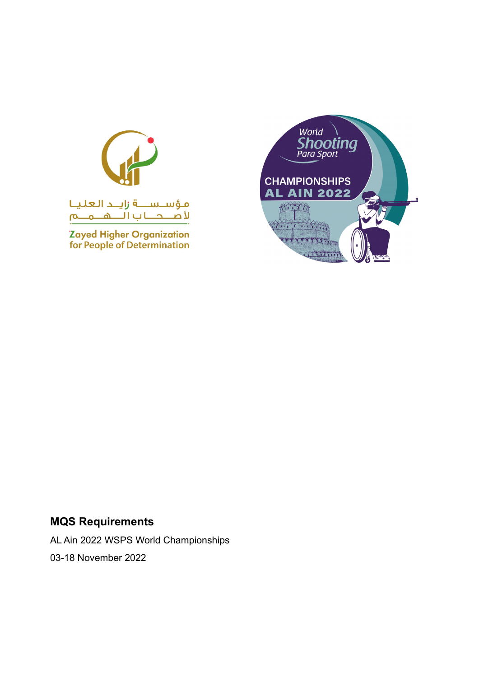

Zayed Higher Organization<br>for People of Determination



## **MQS Requirements**

AL Ain 2022 WSPS World Championships 03-18 November 2022